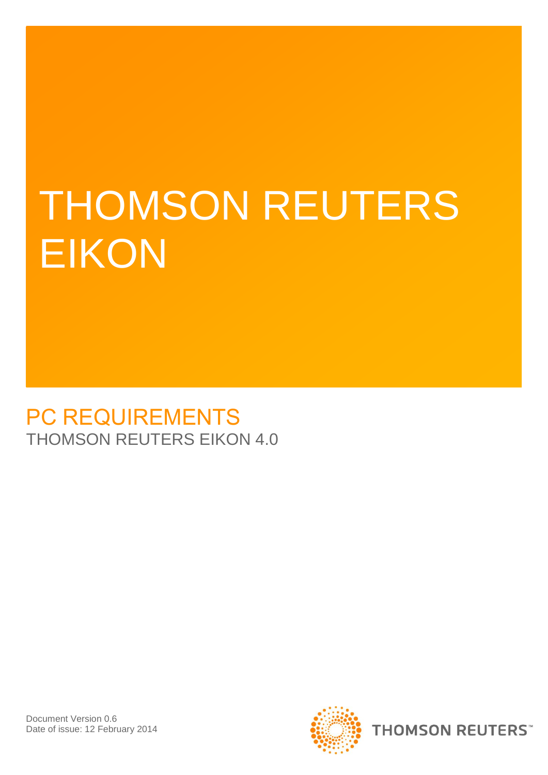# THOMSON REUTERS **EIKON**

### PC REQUIREMENTS THOMSON REUTERS EIKON 4.0

Document Version 0.6 Date of issue: 12 February 2014

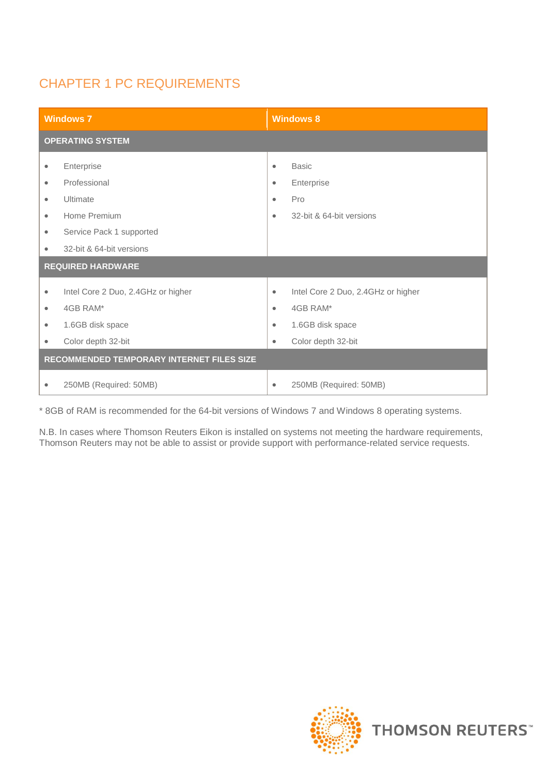### CHAPTER 1 PC REQUIREMENTS

| <b>Windows 7</b>                          |                                                                    | <b>Windows 8</b>            |                                                                    |  |
|-------------------------------------------|--------------------------------------------------------------------|-----------------------------|--------------------------------------------------------------------|--|
|                                           | <b>OPERATING SYSTEM</b>                                            |                             |                                                                    |  |
| $\bullet$<br>$\bullet$                    | Enterprise<br>Professional                                         | $\bullet$<br>$\bullet$      | <b>Basic</b><br>Enterprise                                         |  |
| $\bullet$<br>$\bullet$<br>$\bullet$       | Ultimate<br>Home Premium<br>Service Pack 1 supported               | $\bullet$<br>$\bullet$      | Pro<br>32-bit & 64-bit versions                                    |  |
| ۰                                         | 32-bit & 64-bit versions                                           |                             |                                                                    |  |
| <b>REQUIRED HARDWARE</b>                  |                                                                    |                             |                                                                    |  |
| $\bullet$<br>$\bullet$<br>$\bullet$       | Intel Core 2 Duo, 2.4GHz or higher<br>4GB RAM*<br>1.6GB disk space | $\bullet$<br>$\bullet$<br>۰ | Intel Core 2 Duo, 2.4GHz or higher<br>4GB RAM*<br>1.6GB disk space |  |
| ۰                                         | Color depth 32-bit                                                 | $\bullet$                   | Color depth 32-bit                                                 |  |
| RECOMMENDED TEMPORARY INTERNET FILES SIZE |                                                                    |                             |                                                                    |  |
| ۰                                         | 250MB (Required: 50MB)                                             | $\bullet$                   | 250MB (Required: 50MB)                                             |  |

\* 8GB of RAM is recommended for the 64-bit versions of Windows 7 and Windows 8 operating systems.

N.B. In cases where Thomson Reuters Eikon is installed on systems not meeting the hardware requirements, Thomson Reuters may not be able to assist or provide support with performance-related service requests.

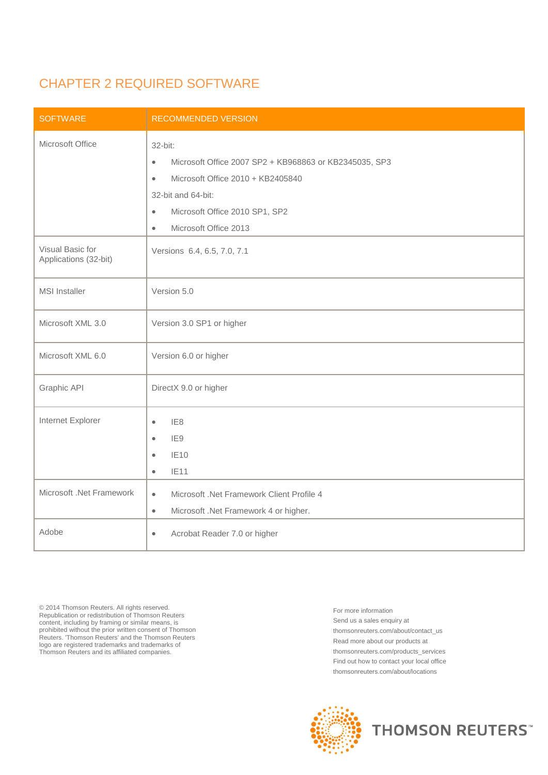#### CHAPTER 2 REQUIRED SOFTWARE

| <b>SOFTWARE</b>                           | <b>RECOMMENDED VERSION</b>                                                                                                                                                                                                                  |  |
|-------------------------------------------|---------------------------------------------------------------------------------------------------------------------------------------------------------------------------------------------------------------------------------------------|--|
| Microsoft Office                          | 32-bit:<br>Microsoft Office 2007 SP2 + KB968863 or KB2345035, SP3<br>$\bullet$<br>Microsoft Office 2010 + KB2405840<br>$\bullet$<br>32-bit and 64-bit:<br>Microsoft Office 2010 SP1, SP2<br>$\bullet$<br>Microsoft Office 2013<br>$\bullet$ |  |
| Visual Basic for<br>Applications (32-bit) | Versions 6.4, 6.5, 7.0, 7.1                                                                                                                                                                                                                 |  |
| <b>MSI</b> Installer                      | Version 5.0                                                                                                                                                                                                                                 |  |
| Microsoft XML 3.0                         | Version 3.0 SP1 or higher                                                                                                                                                                                                                   |  |
| Microsoft XML 6.0                         | Version 6.0 or higher                                                                                                                                                                                                                       |  |
| Graphic API                               | DirectX 9.0 or higher                                                                                                                                                                                                                       |  |
| Internet Explorer                         | IE <sub>8</sub><br>$\bullet$<br>IE9<br>$\bullet$<br><b>IE10</b><br>$\bullet$<br>IE11<br>$\bullet$                                                                                                                                           |  |
| Microsoft .Net Framework                  | Microsoft .Net Framework Client Profile 4<br>$\bullet$<br>Microsoft .Net Framework 4 or higher.<br>$\bullet$                                                                                                                                |  |
| Adobe                                     | Acrobat Reader 7.0 or higher<br>$\bullet$                                                                                                                                                                                                   |  |

© 2014 Thomson Reuters. All rights reserved. Republication or redistribution of Thomson Reuters content, including by framing or similar means, is prohibited without the prior written consent of Thomson Reuters. 'Thomson Reuters' and the Thomson Reuters logo are registered trademarks and trademarks of Thomson Reuters and its affiliated companies.

For more information Send us a sales enquiry at thomsonreuters.com/about/contact\_us Read more about our products at thomsonreuters.com/products\_services Find out how to contact your local office thomsonreuters.com/about/locations



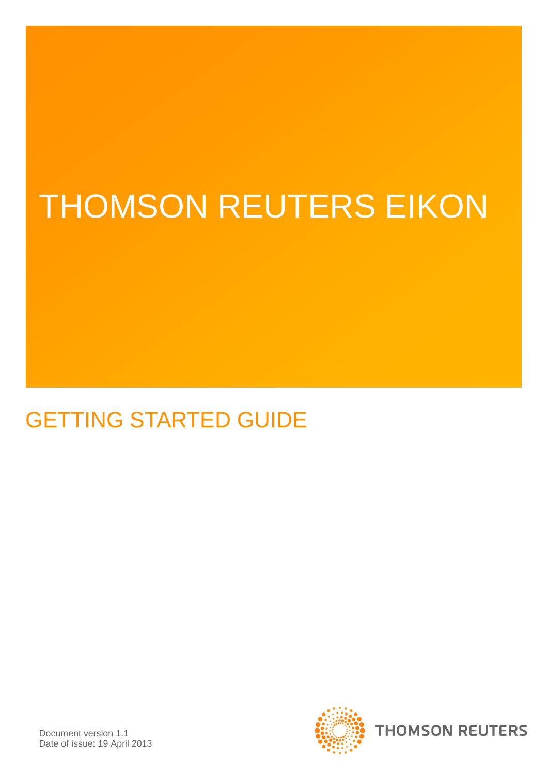## THOMSON REUTERS EIKON

## GETTING STARTED GUIDE

Document version 1.1 Date of issue: 19 April 2013

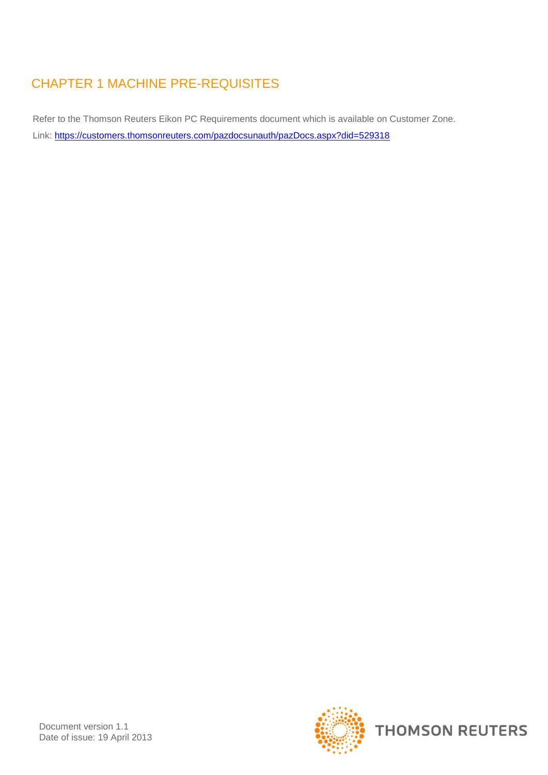### CHAPTER 1 MACHINE PRE-REQUISITES

Refer to the Thomson Reuters Eikon PC Requirements document which is available on Customer Zone. Link:<https://customers.thomsonreuters.com/pazdocsunauth/pazDocs.aspx?did=529318>

Document version 1.1 Date of issue: 19 April 2013

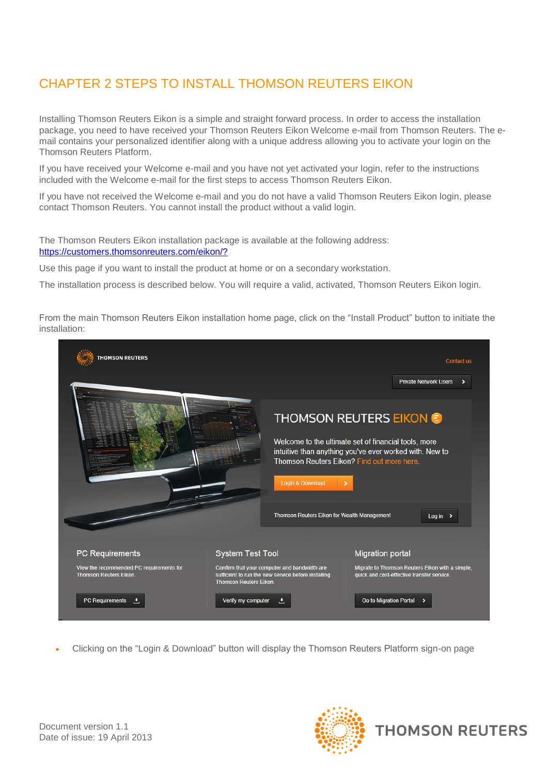### CHAPTER 2 STEPS TO INSTALL THOMSON REUTERS EIKON

Installing Thomson Reuters Eikon is a simple and straight forward process. In order to access the installation package, you need to have received your Thomson Reuters Eikon Welcome e-mail from Thomson Reuters. The email contains your personalized identifier along with a unique address allowing you to activate your login on the Thomson Reuters Platform.

If you have received your Welcome e-mail and you have not yet activated your login, refer to the instructions included with the Welcome e-mail for the first steps to access Thomson Reuters Eikon.

If you have not received the Welcome e-mail and you do not have a valid Thomson Reuters Eikon login, please contact Thomson Reuters. You cannot install the product without a valid login.

The Thomson Reuters Eikon installation package is available at the following address: <https://customers.thomsonreuters.com/eikon/?>

Use this page if you want to install the product at home or on a secondary workstation.

The installation process is described below. You will require a valid, activated, Thomson Reuters Eikon login.

From the main Thomson Reuters Eikon installation home page, click on the "Install Product" button to initiate the installation:



Clicking on the "Login & Download" button will display the Thomson Reuters Platform sign-on page



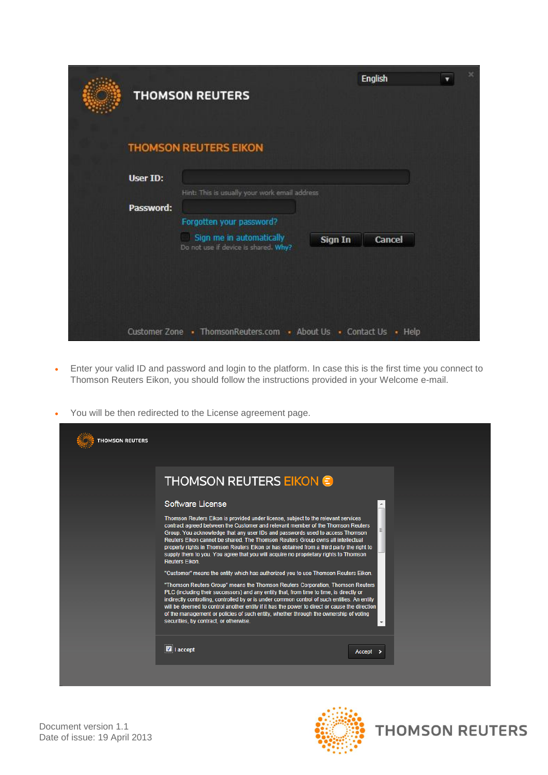|           | <b>THOMSON REUTERS</b>                                                                       |         | <b>English</b> |  |
|-----------|----------------------------------------------------------------------------------------------|---------|----------------|--|
|           | <b>THOMSON REUTERS EIKON</b>                                                                 |         |                |  |
| User ID:  |                                                                                              |         |                |  |
| Password: | Hint: This is usually your work email address                                                |         |                |  |
|           | Forgotten your password?<br>Sign me in automatically<br>Do not use if device is shared. Why? | Sign In | Cancel         |  |
|           |                                                                                              |         |                |  |
|           | Customer Zone . ThomsonReuters.com . About Us . Contact Us                                   |         | $\cdot$ Help   |  |

- Enter your valid ID and password and login to the platform. In case this is the first time you connect to Thomson Reuters Eikon, you should follow the instructions provided in your Welcome e-mail.
- You will be then redirected to the License agreement page.

| <b>THOMSON REUTERS</b> |                                                                                                                                                                                                                                                                                                                                                                                                                                                                                                                                                                                                                                                                                                                                                                                                                                                                                                                                                                                                                                                                                                                                                                                                                    |                          |
|------------------------|--------------------------------------------------------------------------------------------------------------------------------------------------------------------------------------------------------------------------------------------------------------------------------------------------------------------------------------------------------------------------------------------------------------------------------------------------------------------------------------------------------------------------------------------------------------------------------------------------------------------------------------------------------------------------------------------------------------------------------------------------------------------------------------------------------------------------------------------------------------------------------------------------------------------------------------------------------------------------------------------------------------------------------------------------------------------------------------------------------------------------------------------------------------------------------------------------------------------|--------------------------|
|                        | <b>THOMSON REUTERS EIKON C</b><br>Software License<br>Thomson Reuters Eikon is provided under license, subject to the relevant services<br>contract agreed between the Customer and relevant member of the Thomson Reuters<br>Group. You acknowledge that any user IDs and passwords used to access Thomson<br>Reuters Eikon cannot be shared. The Thomson Reuters Group owns all intellectual<br>property rights in Thomson Reuters Eikon or has obtained from a third party the right to<br>supply them to you. You agree that you will acquire no proprietary rights to Thomson<br><b>Reuters Eikon.</b><br>"Customer" means the entity which has authorized you to use Thomson Reuters Eikon.<br>"Thomson Reuters Group" means the Thomson Reuters Corporation, Thomson Reuters<br>PLC (including their successors) and any entity that, from time to time, is directly or<br>indirectly controlling, controlled by or is under common control of such entities. An entity<br>will be deemed to control another entity if it has the power to direct or cause the direction<br>of the management or policies of such entity, whether through the ownership of voting<br>securities, by contract, or otherwise. | $\overline{\phantom{a}}$ |
|                        | $\blacksquare$ I accept                                                                                                                                                                                                                                                                                                                                                                                                                                                                                                                                                                                                                                                                                                                                                                                                                                                                                                                                                                                                                                                                                                                                                                                            | Accept                   |

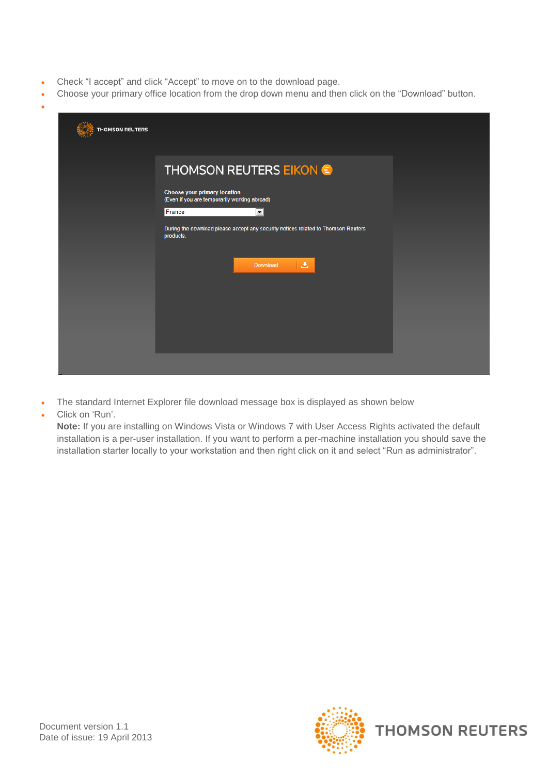- Check "I accept" and click "Accept" to move on to the download page.
- Choose your primary office location from the drop down menu and then click on the "Download" button.

| <b>THOMSON REUTERS</b> |                                                                                                                                                                                                                                                                                |  |
|------------------------|--------------------------------------------------------------------------------------------------------------------------------------------------------------------------------------------------------------------------------------------------------------------------------|--|
|                        | <b>THOMSON REUTERS EIKON &amp;</b><br><b>Choose your primary location</b><br>(Even if you are temporarily working abroad)<br>France<br>$\blacktriangledown$<br>During the download please accept any security notices related to Thomson Reuters<br>products.<br>医<br>Download |  |
|                        |                                                                                                                                                                                                                                                                                |  |

- The standard Internet Explorer file download message box is displayed as shown below
- Click on 'Run'.

 $\bullet$ 

**Note:** If you are installing on Windows Vista or Windows 7 with User Access Rights activated the default installation is a per-user installation. If you want to perform a per-machine installation you should save the installation starter locally to your workstation and then right click on it and select "Run as administrator".

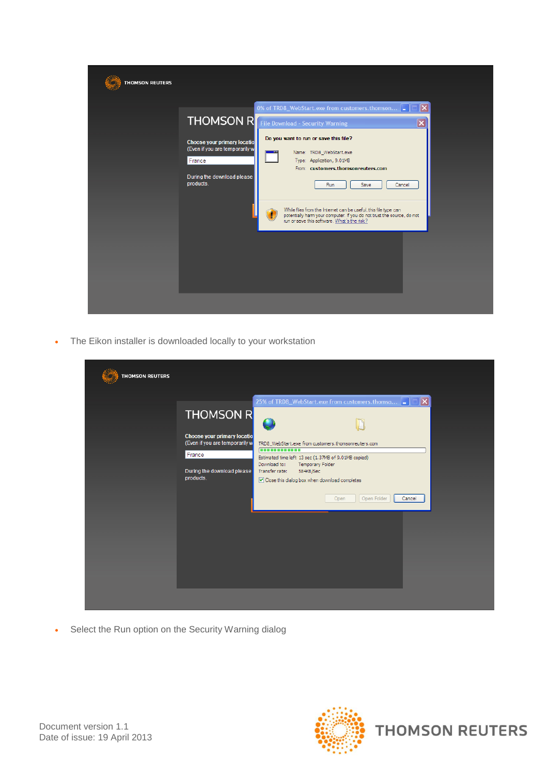| <b>THOMSON REUTERS</b> |                                                                                                                           |                                                                                                                                                                                                                                                                                                              |
|------------------------|---------------------------------------------------------------------------------------------------------------------------|--------------------------------------------------------------------------------------------------------------------------------------------------------------------------------------------------------------------------------------------------------------------------------------------------------------|
|                        | <b>Choose your primary locatio</b><br>(Even if you are temporarily w<br>France<br>During the download please<br>products. | 0% of TRD8_WebStart.exe from customers.thomson<br>∣×∣<br><b>THOMSON R</b> File Download - Security Warning<br>$\overline{\mathsf{x}}$<br>Do you want to run or save this file?<br>Name: TRD8_WebStart.exe<br>Type: Application, 9.01MB<br>From: customers.thomsonreuters.com<br>Save<br>Cancel<br><b>Run</b> |
|                        |                                                                                                                           | While files from the Internet can be useful, this file type can<br>potentially harm your computer. If you do not trust the source, do not<br>run or save this software. What's the risk?                                                                                                                     |

The Eikon installer is downloaded locally to your workstation

| <b>THOMSON REUTERS</b>                                                                                                                                                                                                                                                                                                                                                                                                                                                                                          |  |
|-----------------------------------------------------------------------------------------------------------------------------------------------------------------------------------------------------------------------------------------------------------------------------------------------------------------------------------------------------------------------------------------------------------------------------------------------------------------------------------------------------------------|--|
| 25% of TRD8_WebStart.exe from customers.thomso<br>$\vert\mathsf{x}\vert$<br>n.<br><b>THOMSON R</b><br>Choose your primary locatio<br>(Even if you are temporarily w<br>TRD8_WebStart.exe from customers.thomsonreuters.com<br>------------<br>France<br>Estimated time left: 13 sec (1.37MB of 9.01MB copied)<br>Download to:<br>Temporary Folder<br>During the download please<br>Transfer rate:<br>584KB/Sec<br>products.<br>○ Close this dialog box when download completes<br>Open Folder<br>Cancel<br>Open |  |

• Select the Run option on the Security Warning dialog



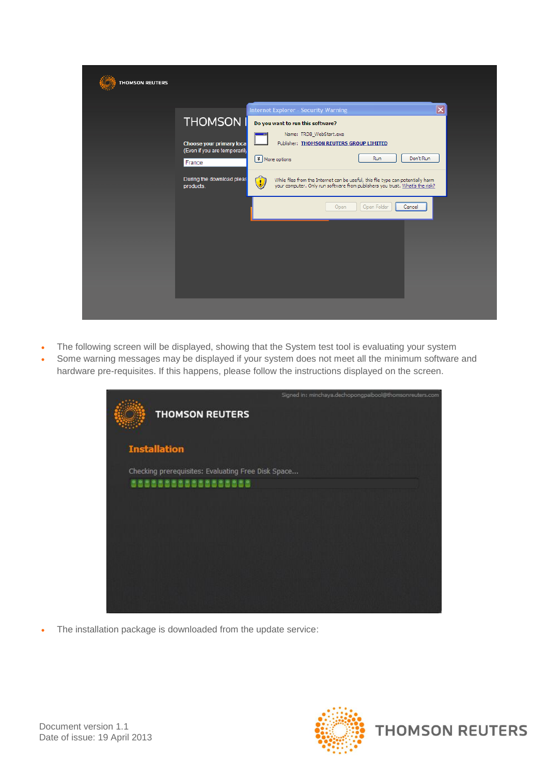| <b>THOMSON REUTERS</b> |                                                          |                                                                                                                                                                       |
|------------------------|----------------------------------------------------------|-----------------------------------------------------------------------------------------------------------------------------------------------------------------------|
|                        |                                                          | $\overline{\mathbf{x}}$<br><b>Internet Explorer - Security Warning</b>                                                                                                |
|                        | <b>THOMSON I</b>                                         | Do you want to run this software?<br>Name: TRD8_WebStart.exe<br>--                                                                                                    |
|                        | Choose your primary loca<br>(Even if you are temporarily | Publisher: THOMSON REUTERS GROUP LIMITED                                                                                                                              |
|                        | France                                                   | Don't Run<br>■ More options<br>Run                                                                                                                                    |
|                        | During the download pleas<br>products.                   | While files from the Internet can be useful, this file type can potentially harm<br>your computer. Only run software from publishers you trust. What's the risk?<br>Ð |
|                        |                                                          | Open Folder<br>Cancel<br>Open                                                                                                                                         |
|                        |                                                          |                                                                                                                                                                       |
|                        |                                                          |                                                                                                                                                                       |
|                        |                                                          |                                                                                                                                                                       |
|                        |                                                          |                                                                                                                                                                       |
|                        |                                                          |                                                                                                                                                                       |

- The following screen will be displayed, showing that the System test tool is evaluating your system
- Some warning messages may be displayed if your system does not meet all the minimum software and hardware pre-requisites. If this happens, please follow the instructions displayed on the screen.

| <b>THOMSON REUTERS</b>                             | Signed in: minchaya.dechopongpaibool@thomsonreuters.com |
|----------------------------------------------------|---------------------------------------------------------|
| <b>Installation</b>                                |                                                         |
| Checking prerequisites: Evaluating Free Disk Space |                                                         |
| 53535535555555555                                  |                                                         |
|                                                    |                                                         |
|                                                    |                                                         |

The installation package is downloaded from the update service:

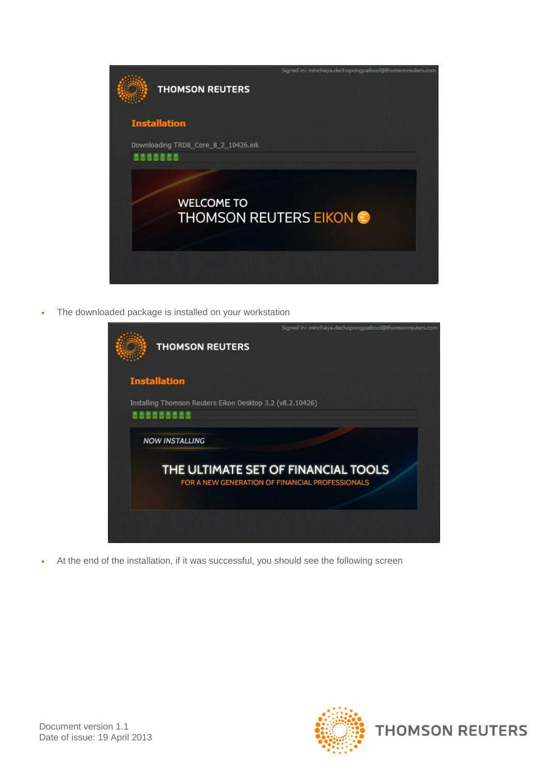

The downloaded package is installed on your workstation

| Signed in: minchaya.dechopongpaibool@thomsonreuters.com<br><b>THOMSON REUTERS</b>      |
|----------------------------------------------------------------------------------------|
| <b>Installation</b>                                                                    |
| Installing Thomson Reuters Eikon Desktop 3.2 (v8.2.10426)<br>838383838                 |
| <b>NOW INSTALLING</b>                                                                  |
| THE ULTIMATE SET OF FINANCIAL TOOLS<br>FOR A NEW GENERATION OF FINANCIAL PROFESSIONALS |
|                                                                                        |

At the end of the installation, if it was successful, you should see the following screen